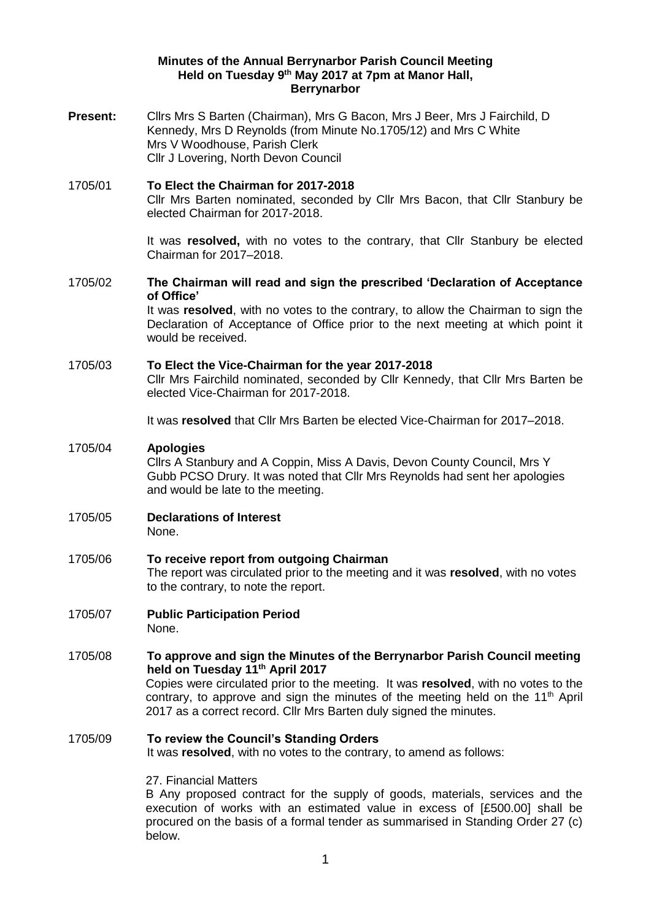## **Minutes of the Annual Berrynarbor Parish Council Meeting Held on Tuesday 9 th May 2017 at 7pm at Manor Hall, Berrynarbor**

**Present:** Cllrs Mrs S Barten (Chairman), Mrs G Bacon, Mrs J Beer, Mrs J Fairchild, D Kennedy, Mrs D Reynolds (from Minute No.1705/12) and Mrs C White Mrs V Woodhouse, Parish Clerk Cllr J Lovering, North Devon Council

1705/01 **To Elect the Chairman for 2017-2018** Cllr Mrs Barten nominated, seconded by Cllr Mrs Bacon, that Cllr Stanbury be elected Chairman for 2017-2018.

> It was **resolved,** with no votes to the contrary, that Cllr Stanbury be elected Chairman for 2017–2018.

1705/02 **The Chairman will read and sign the prescribed 'Declaration of Acceptance of Office'**

It was **resolved**, with no votes to the contrary, to allow the Chairman to sign the Declaration of Acceptance of Office prior to the next meeting at which point it would be received.

# 1705/03 **To Elect the Vice-Chairman for the year 2017-2018**

Cllr Mrs Fairchild nominated, seconded by Cllr Kennedy, that Cllr Mrs Barten be elected Vice-Chairman for 2017-2018.

It was **resolved** that Cllr Mrs Barten be elected Vice-Chairman for 2017–2018.

## 1705/04 **Apologies**

Cllrs A Stanbury and A Coppin, Miss A Davis, Devon County Council, Mrs Y Gubb PCSO Drury. It was noted that Cllr Mrs Reynolds had sent her apologies and would be late to the meeting.

- 1705/05 **Declarations of Interest**  None.
- 1705/06 **To receive report from outgoing Chairman** The report was circulated prior to the meeting and it was **resolved**, with no votes to the contrary, to note the report.
- 1705/07 **Public Participation Period**  None.

1705/08 **To approve and sign the Minutes of the Berrynarbor Parish Council meeting held on Tuesday 11th April 2017** Copies were circulated prior to the meeting. It was **resolved**, with no votes to the contrary, to approve and sign the minutes of the meeting held on the  $11<sup>th</sup>$  April 2017 as a correct record. Cllr Mrs Barten duly signed the minutes.

### 1705/09 **To review the Council's Standing Orders**  It was **resolved**, with no votes to the contrary, to amend as follows:

27. Financial Matters

B Any proposed contract for the supply of goods, materials, services and the execution of works with an estimated value in excess of [£500.00] shall be procured on the basis of a formal tender as summarised in Standing Order 27 (c) below.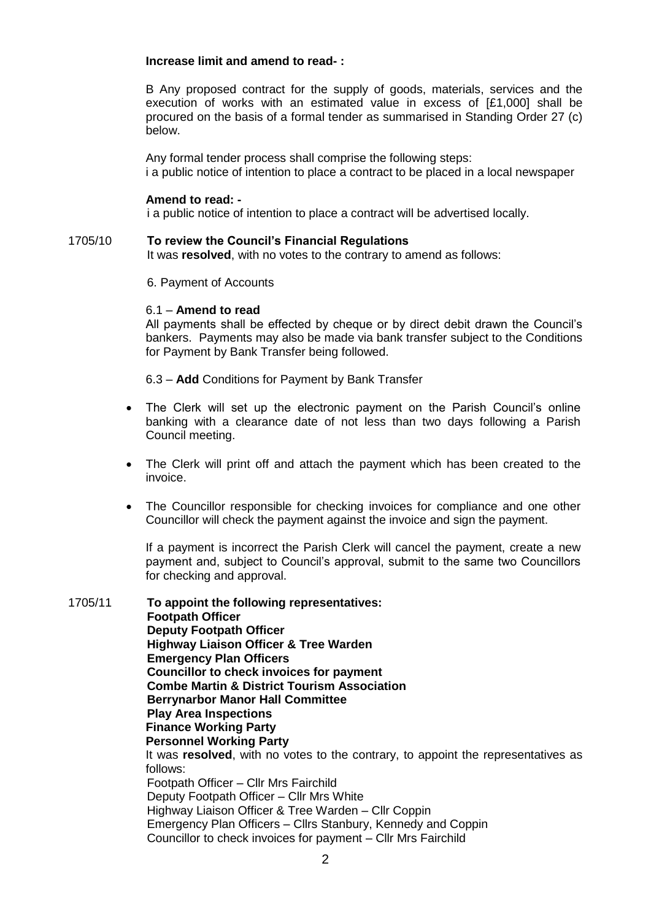## **Increase limit and amend to read- :**

B Any proposed contract for the supply of goods, materials, services and the execution of works with an estimated value in excess of [£1,000] shall be procured on the basis of a formal tender as summarised in Standing Order 27 (c) below.

Any formal tender process shall comprise the following steps: i a public notice of intention to place a contract to be placed in a local newspaper

## **Amend to read: -**

i a public notice of intention to place a contract will be advertised locally.

1705/10 **To review the Council's Financial Regulations**  It was **resolved**, with no votes to the contrary to amend as follows:

6. Payment of Accounts

## 6.1 – **Amend to read**

All payments shall be effected by cheque or by direct debit drawn the Council's bankers. Payments may also be made via bank transfer subject to the Conditions for Payment by Bank Transfer being followed.

6.3 – **Add** Conditions for Payment by Bank Transfer

- The Clerk will set up the electronic payment on the Parish Council's online banking with a clearance date of not less than two days following a Parish Council meeting.
- The Clerk will print off and attach the payment which has been created to the invoice.
- The Councillor responsible for checking invoices for compliance and one other Councillor will check the payment against the invoice and sign the payment.

If a payment is incorrect the Parish Clerk will cancel the payment, create a new payment and, subject to Council's approval, submit to the same two Councillors for checking and approval.

1705/11 **To appoint the following representatives: Footpath Officer Deputy Footpath Officer Highway Liaison Officer & Tree Warden Emergency Plan Officers Councillor to check invoices for payment Combe Martin & District Tourism Association Berrynarbor Manor Hall Committee Play Area Inspections Finance Working Party Personnel Working Party** It was **resolved**, with no votes to the contrary, to appoint the representatives as follows: Footpath Officer – Cllr Mrs Fairchild Deputy Footpath Officer – Cllr Mrs White Highway Liaison Officer & Tree Warden – Cllr Coppin Emergency Plan Officers – Cllrs Stanbury, Kennedy and Coppin Councillor to check invoices for payment – Cllr Mrs Fairchild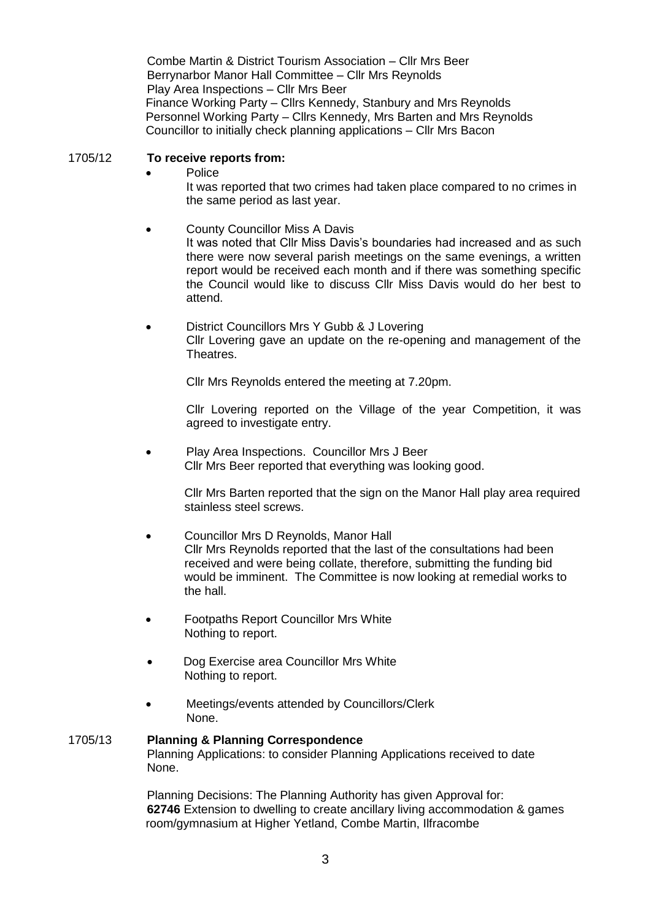Combe Martin & District Tourism Association – Cllr Mrs Beer Berrynarbor Manor Hall Committee – Cllr Mrs Reynolds Play Area Inspections – Cllr Mrs Beer Finance Working Party – Cllrs Kennedy, Stanbury and Mrs Reynolds Personnel Working Party – Cllrs Kennedy, Mrs Barten and Mrs Reynolds Councillor to initially check planning applications – Cllr Mrs Bacon

## 1705/12 **To receive reports from:**

- Police It was reported that two crimes had taken place compared to no crimes in the same period as last year.
- County Councillor Miss A Davis It was noted that Cllr Miss Davis's boundaries had increased and as such there were now several parish meetings on the same evenings, a written report would be received each month and if there was something specific the Council would like to discuss Cllr Miss Davis would do her best to attend.
- District Councillors Mrs Y Gubb & J Lovering Cllr Lovering gave an update on the re-opening and management of the Theatres.

Cllr Mrs Reynolds entered the meeting at 7.20pm.

Cllr Lovering reported on the Village of the year Competition, it was agreed to investigate entry.

• Play Area Inspections. Councillor Mrs J Beer Cllr Mrs Beer reported that everything was looking good.

> Cllr Mrs Barten reported that the sign on the Manor Hall play area required stainless steel screws.

- Councillor Mrs D Reynolds, Manor Hall Cllr Mrs Reynolds reported that the last of the consultations had been received and were being collate, therefore, submitting the funding bid would be imminent. The Committee is now looking at remedial works to the hall.
- Footpaths Report Councillor Mrs White Nothing to report.
- Dog Exercise area Councillor Mrs White Nothing to report.
- Meetings/events attended by Councillors/Clerk None.

#### 1705/13 **Planning & Planning Correspondence**  Planning Applications: to consider Planning Applications received to date None.

Planning Decisions: The Planning Authority has given Approval for: **62746** Extension to dwelling to create ancillary living accommodation & games room/gymnasium at Higher Yetland, Combe Martin, Ilfracombe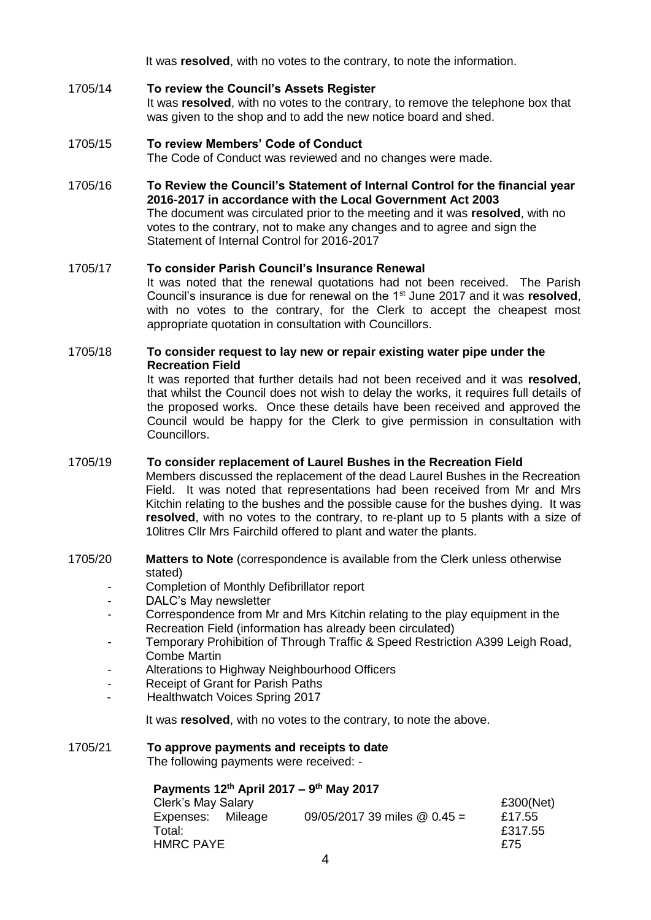It was **resolved**, with no votes to the contrary, to note the information.

## 1705/14 **To review the Council's Assets Register**

It was **resolved**, with no votes to the contrary, to remove the telephone box that was given to the shop and to add the new notice board and shed.

# 1705/15 **To review Members' Code of Conduct**

The Code of Conduct was reviewed and no changes were made.

1705/16 **To Review the Council's Statement of Internal Control for the financial year 2016-2017 in accordance with the Local Government Act 2003**  The document was circulated prior to the meeting and it was **resolved**, with no votes to the contrary, not to make any changes and to agree and sign the Statement of Internal Control for 2016-2017

# 1705/17 **To consider Parish Council's Insurance Renewal**

It was noted that the renewal quotations had not been received. The Parish Council's insurance is due for renewal on the 1st June 2017 and it was **resolved**, with no votes to the contrary, for the Clerk to accept the cheapest most appropriate quotation in consultation with Councillors.

## 1705/18 **To consider request to lay new or repair existing water pipe under the Recreation Field**

It was reported that further details had not been received and it was **resolved**, that whilst the Council does not wish to delay the works, it requires full details of the proposed works. Once these details have been received and approved the Council would be happy for the Clerk to give permission in consultation with Councillors.

## 1705/19 **To consider replacement of Laurel Bushes in the Recreation Field**

Members discussed the replacement of the dead Laurel Bushes in the Recreation Field. It was noted that representations had been received from Mr and Mrs Kitchin relating to the bushes and the possible cause for the bushes dying. It was **resolved**, with no votes to the contrary, to re-plant up to 5 plants with a size of 10litres Cllr Mrs Fairchild offered to plant and water the plants.

- 1705/20 **Matters to Note** (correspondence is available from the Clerk unless otherwise stated)
	- Completion of Monthly Defibrillator report
	- DALC's May newsletter
	- Correspondence from Mr and Mrs Kitchin relating to the play equipment in the Recreation Field (information has already been circulated)
	- Temporary Prohibition of Through Traffic & Speed Restriction A399 Leigh Road, Combe Martin
	- Alterations to Highway Neighbourhood Officers
	- Receipt of Grant for Parish Paths
	- Healthwatch Voices Spring 2017

It was **resolved**, with no votes to the contrary, to note the above.

# 1705/21 **To approve payments and receipts to date**

The following payments were received: -

**Payments 12th April 2017 – 9 th May 2017**  Clerk's May Salary £300(Net) Expenses: Mileage 09/05/2017 39 miles @ 0.45 = £17.55 Total: £317.55 HMRC PAYE